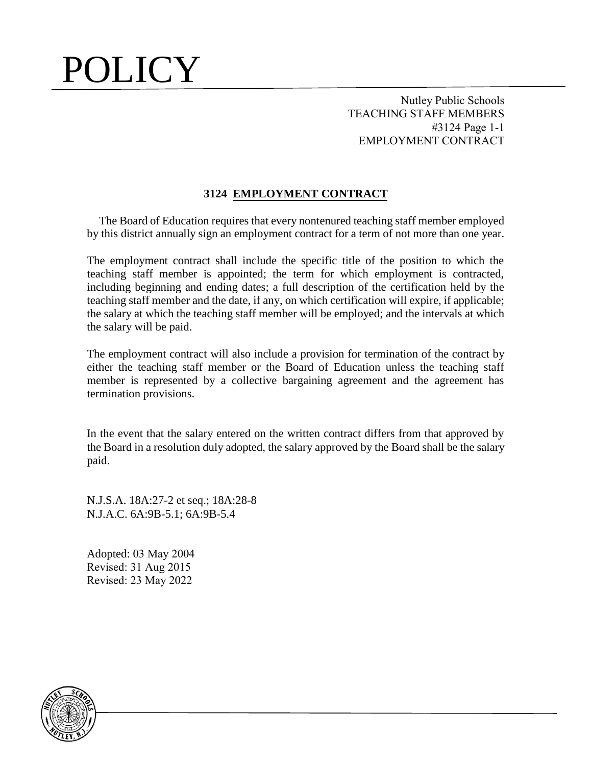Nutley Public Schools TEACHING STAFF MEMBERS #3124 Page 1-1 EMPLOYMENT CONTRACT

#### **3124 EMPLOYMENT CONTRACT**

 The Board of Education requires that every nontenured teaching staff member employed by this district annually sign an employment contract for a term of not more than one year.

The employment contract shall include the specific title of the position to which the teaching staff member is appointed; the term for which employment is contracted, including beginning and ending dates; a full description of the certification held by the teaching staff member and the date, if any, on which certification will expire, if applicable; the salary at which the teaching staff member will be employed; and the intervals at which the salary will be paid.

The employment contract will also include a provision for termination of the contract by either the teaching staff member or the Board of Education unless the teaching staff member is represented by a collective bargaining agreement and the agreement has termination provisions.

In the event that the salary entered on the written contract differs from that approved by the Board in a resolution duly adopted, the salary approved by the Board shall be the salary paid.

N.J.S.A. 18A:27-2 et seq.; 18A:28-8 N.J.A.C. 6A:9B-5.1; 6A:9B-5.4

Adopted: 03 May 2004 Revised: 31 Aug 2015 Revised: 23 May 2022

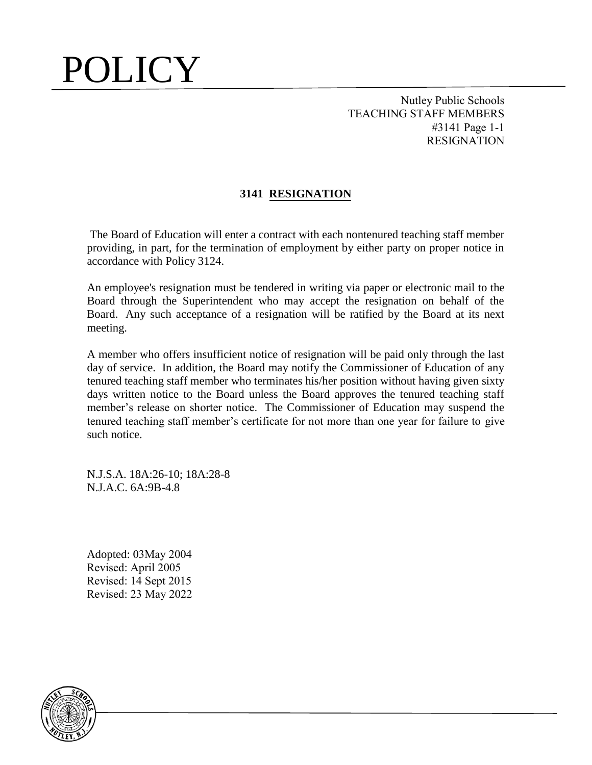Nutley Public Schools TEACHING STAFF MEMBERS #3141 Page 1-1 RESIGNATION

#### **3141 RESIGNATION**

The Board of Education will enter a contract with each nontenured teaching staff member providing, in part, for the termination of employment by either party on proper notice in accordance with Policy 3124.

An employee's resignation must be tendered in writing via paper or electronic mail to the Board through the Superintendent who may accept the resignation on behalf of the Board. Any such acceptance of a resignation will be ratified by the Board at its next meeting.

A member who offers insufficient notice of resignation will be paid only through the last day of service. In addition, the Board may notify the Commissioner of Education of any tenured teaching staff member who terminates his/her position without having given sixty days written notice to the Board unless the Board approves the tenured teaching staff member's release on shorter notice. The Commissioner of Education may suspend the tenured teaching staff member's certificate for not more than one year for failure to give such notice.

N.J.S.A. 18A:26-10; 18A:28-8 N.J.A.C. 6A:9B-4.8

Adopted: 03May 2004 Revised: April 2005 Revised: 14 Sept 2015 Revised: 23 May 2022

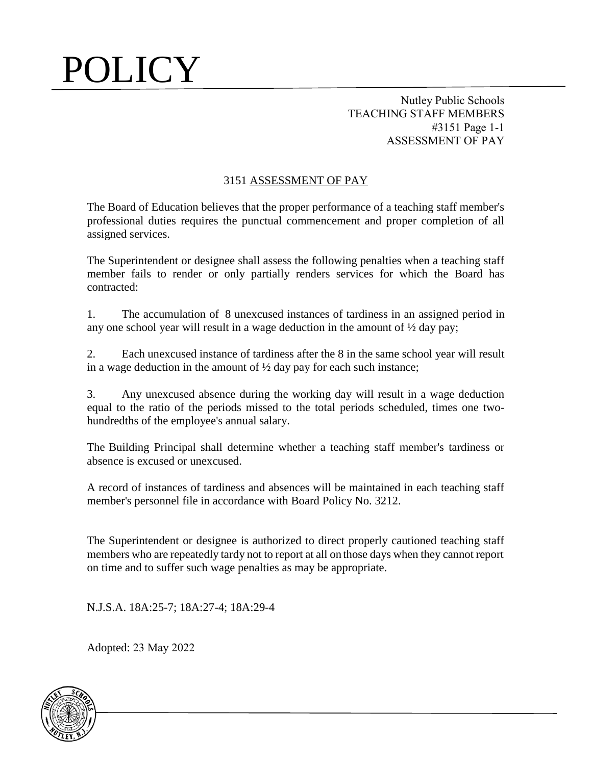Nutley Public Schools TEACHING STAFF MEMBERS #3151 Page 1-1 ASSESSMENT OF PAY

#### 3151 ASSESSMENT OF PAY

The Board of Education believes that the proper performance of a teaching staff member's professional duties requires the punctual commencement and proper completion of all assigned services.

The Superintendent or designee shall assess the following penalties when a teaching staff member fails to render or only partially renders services for which the Board has contracted:

1. The accumulation of 8 unexcused instances of tardiness in an assigned period in any one school year will result in a wage deduction in the amount of  $\frac{1}{2}$  day pay;

2. Each unexcused instance of tardiness after the 8 in the same school year will result in a wage deduction in the amount of  $\frac{1}{2}$  day pay for each such instance;

3. Any unexcused absence during the working day will result in a wage deduction equal to the ratio of the periods missed to the total periods scheduled, times one twohundredths of the employee's annual salary.

The Building Principal shall determine whether a teaching staff member's tardiness or absence is excused or unexcused.

A record of instances of tardiness and absences will be maintained in each teaching staff member's personnel file in accordance with Board Policy No. 3212.

The Superintendent or designee is authorized to direct properly cautioned teaching staff members who are repeatedly tardy not to report at all on those days when they cannot report on time and to suffer such wage penalties as may be appropriate.

N.J.S.A. 18A:25-7; 18A:27-4; 18A:29-4

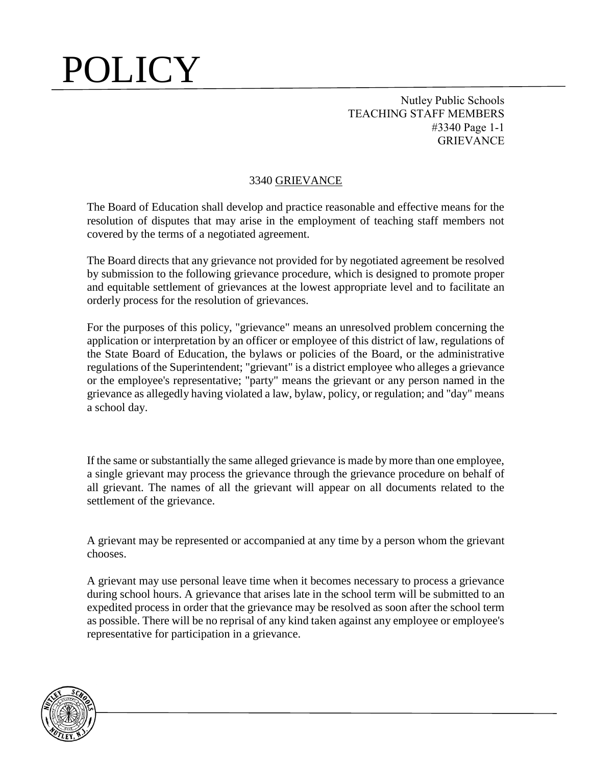Nutley Public Schools TEACHING STAFF MEMBERS #3340 Page 1-1 **GRIEVANCE** 

#### 3340 GRIEVANCE

The Board of Education shall develop and practice reasonable and effective means for the resolution of disputes that may arise in the employment of teaching staff members not covered by the terms of a negotiated agreement.

The Board directs that any grievance not provided for by negotiated agreement be resolved by submission to the following grievance procedure, which is designed to promote proper and equitable settlement of grievances at the lowest appropriate level and to facilitate an orderly process for the resolution of grievances.

For the purposes of this policy, "grievance" means an unresolved problem concerning the application or interpretation by an officer or employee of this district of law, regulations of the State Board of Education, the bylaws or policies of the Board, or the administrative regulations of the Superintendent; "grievant" is a district employee who alleges a grievance or the employee's representative; "party" means the grievant or any person named in the grievance as allegedly having violated a law, bylaw, policy, or regulation; and "day" means a school day.

If the same or substantially the same alleged grievance is made by more than one employee, a single grievant may process the grievance through the grievance procedure on behalf of all grievant. The names of all the grievant will appear on all documents related to the settlement of the grievance.

A grievant may be represented or accompanied at any time by a person whom the grievant chooses.

A grievant may use personal leave time when it becomes necessary to process a grievance during school hours. A grievance that arises late in the school term will be submitted to an expedited process in order that the grievance may be resolved as soon after the school term as possible. There will be no reprisal of any kind taken against any employee or employee's representative for participation in a grievance.

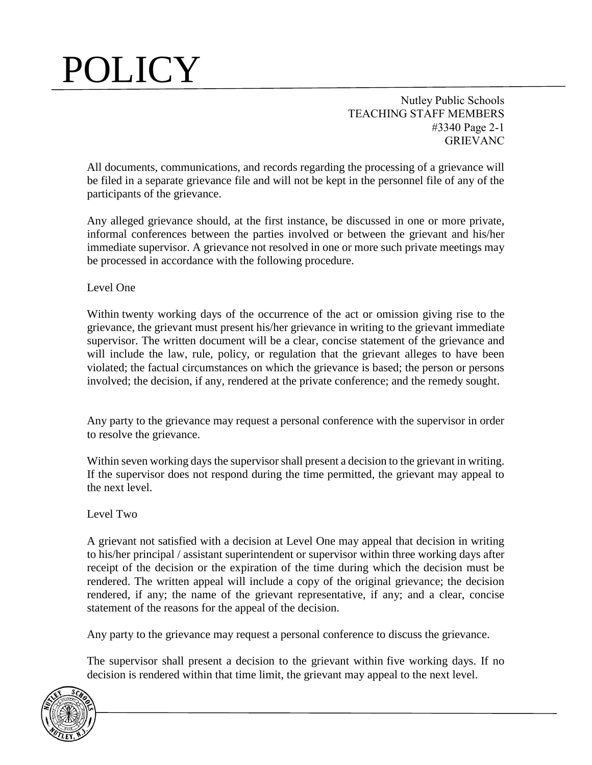Nutley Public Schools TEACHING STAFF MEMBERS #3340 Page 2-1 GRIEVANC

All documents, communications, and records regarding the processing of a grievance will be filed in a separate grievance file and will not be kept in the personnel file of any of the participants of the grievance.

Any alleged grievance should, at the first instance, be discussed in one or more private, informal conferences between the parties involved or between the grievant and his/her immediate supervisor. A grievance not resolved in one or more such private meetings may be processed in accordance with the following procedure.

Level One

Within twenty working days of the occurrence of the act or omission giving rise to the grievance, the grievant must present his/her grievance in writing to the grievant immediate supervisor. The written document will be a clear, concise statement of the grievance and will include the law, rule, policy, or regulation that the grievant alleges to have been violated; the factual circumstances on which the grievance is based; the person or persons involved; the decision, if any, rendered at the private conference; and the remedy sought.

Any party to the grievance may request a personal conference with the supervisor in order to resolve the grievance.

Within seven working days the supervisor shall present a decision to the grievant in writing. If the supervisor does not respond during the time permitted, the grievant may appeal to the next level.

Level Two

A grievant not satisfied with a decision at Level One may appeal that decision in writing to his/her principal / assistant superintendent or supervisor within three working days after receipt of the decision or the expiration of the time during which the decision must be rendered. The written appeal will include a copy of the original grievance; the decision rendered, if any; the name of the grievant representative, if any; and a clear, concise statement of the reasons for the appeal of the decision.

Any party to the grievance may request a personal conference to discuss the grievance.

The supervisor shall present a decision to the grievant within five working days. If no decision is rendered within that time limit, the grievant may appeal to the next level.

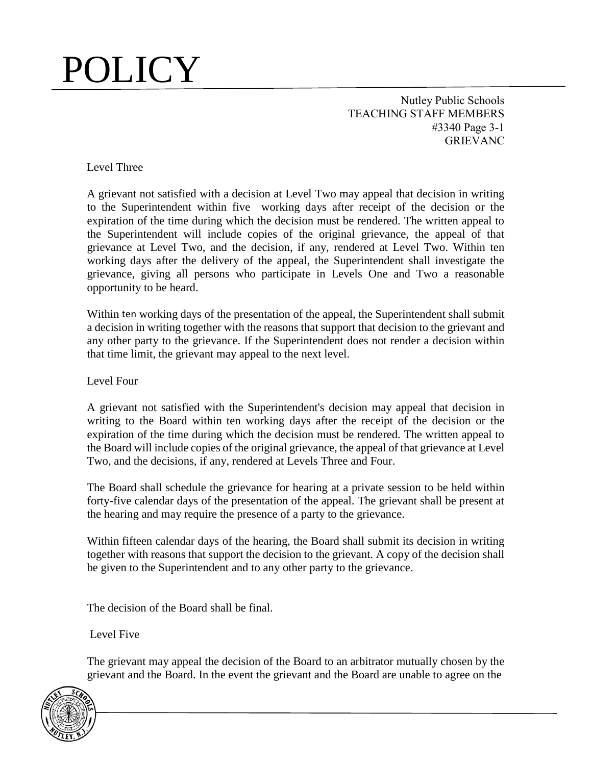Nutley Public Schools TEACHING STAFF MEMBERS #3340 Page 3-1 **GRIEVANC** 

Level Three

A grievant not satisfied with a decision at Level Two may appeal that decision in writing to the Superintendent within five working days after receipt of the decision or the expiration of the time during which the decision must be rendered. The written appeal to the Superintendent will include copies of the original grievance, the appeal of that grievance at Level Two, and the decision, if any, rendered at Level Two. Within ten working days after the delivery of the appeal, the Superintendent shall investigate the grievance, giving all persons who participate in Levels One and Two a reasonable opportunity to be heard.

Within ten working days of the presentation of the appeal, the Superintendent shall submit a decision in writing together with the reasons that support that decision to the grievant and any other party to the grievance. If the Superintendent does not render a decision within that time limit, the grievant may appeal to the next level.

Level Four

A grievant not satisfied with the Superintendent's decision may appeal that decision in writing to the Board within ten working days after the receipt of the decision or the expiration of the time during which the decision must be rendered. The written appeal to the Board will include copies of the original grievance, the appeal of that grievance at Level Two, and the decisions, if any, rendered at Levels Three and Four.

The Board shall schedule the grievance for hearing at a private session to be held within forty-five calendar days of the presentation of the appeal. The grievant shall be present at the hearing and may require the presence of a party to the grievance.

Within fifteen calendar days of the hearing, the Board shall submit its decision in writing together with reasons that support the decision to the grievant. A copy of the decision shall be given to the Superintendent and to any other party to the grievance.

The decision of the Board shall be final.

Level Five

The grievant may appeal the decision of the Board to an arbitrator mutually chosen by the grievant and the Board. In the event the grievant and the Board are unable to agree on the

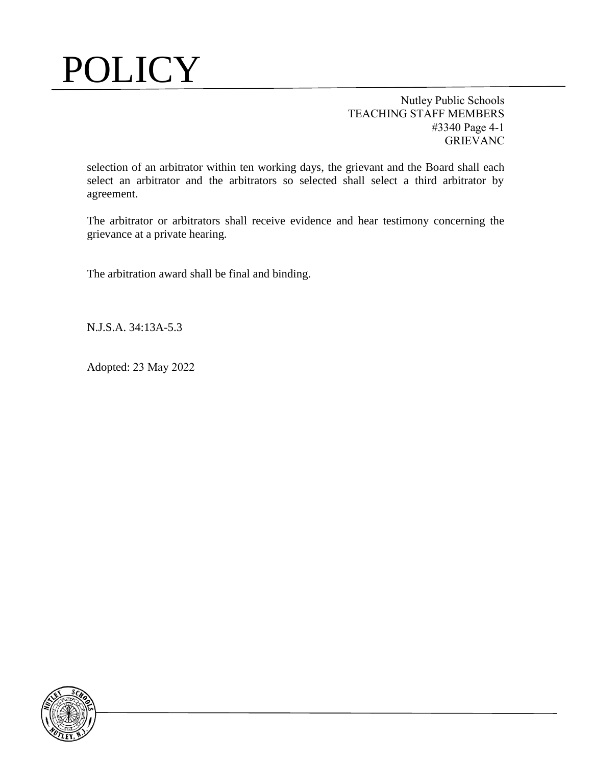Nutley Public Schools TEACHING STAFF MEMBERS #3340 Page 4-1 GRIEVANC

selection of an arbitrator within ten working days, the grievant and the Board shall each select an arbitrator and the arbitrators so selected shall select a third arbitrator by agreement.

The arbitrator or arbitrators shall receive evidence and hear testimony concerning the grievance at a private hearing.

The arbitration award shall be final and binding.

N.J.S.A. 34:13A-5.3

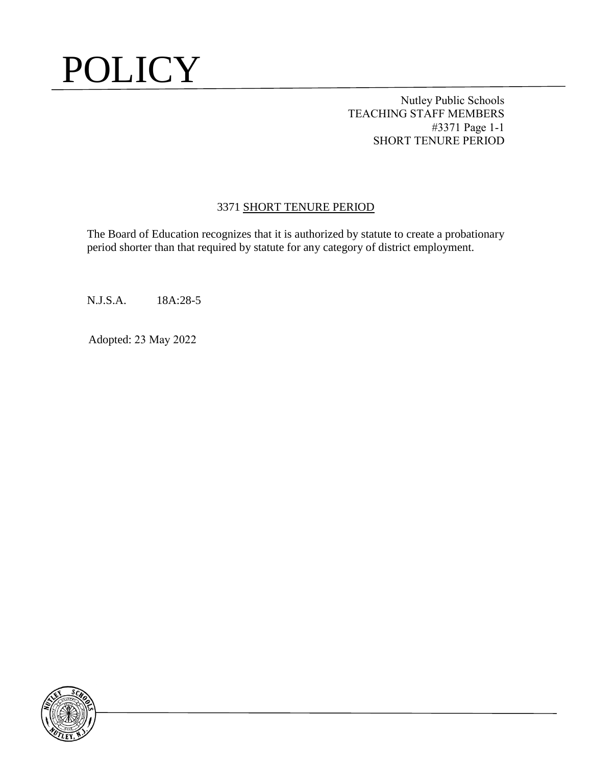Nutley Public Schools TEACHING STAFF MEMBERS #3371 Page 1-1 SHORT TENURE PERIOD

#### 3371 SHORT TENURE PERIOD

The Board of Education recognizes that it is authorized by statute to create a probationary period shorter than that required by statute for any category of district employment.

N.J.S.A. 18A:28-5

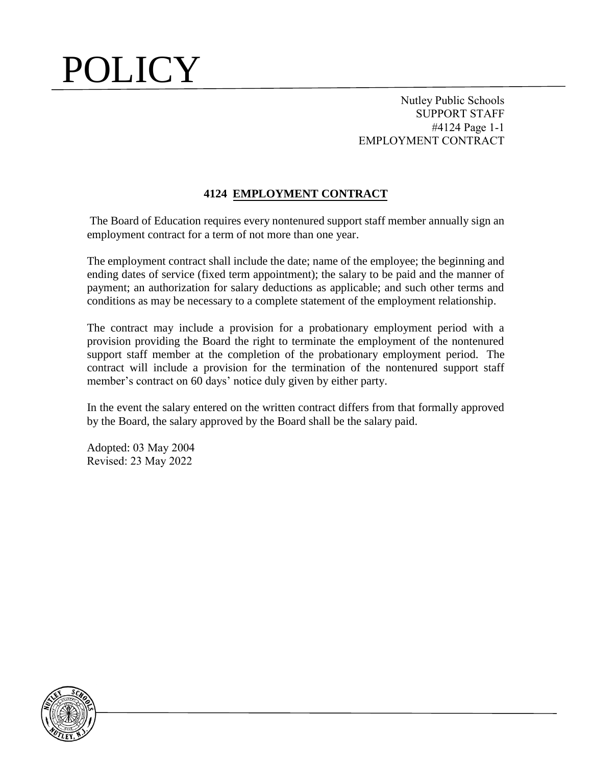Nutley Public Schools SUPPORT STAFF #4124 Page 1-1 EMPLOYMENT CONTRACT

#### **4124 EMPLOYMENT CONTRACT**

The Board of Education requires every nontenured support staff member annually sign an employment contract for a term of not more than one year.

The employment contract shall include the date; name of the employee; the beginning and ending dates of service (fixed term appointment); the salary to be paid and the manner of payment; an authorization for salary deductions as applicable; and such other terms and conditions as may be necessary to a complete statement of the employment relationship.

The contract may include a provision for a probationary employment period with a provision providing the Board the right to terminate the employment of the nontenured support staff member at the completion of the probationary employment period. The contract will include a provision for the termination of the nontenured support staff member's contract on 60 days' notice duly given by either party.

In the event the salary entered on the written contract differs from that formally approved by the Board, the salary approved by the Board shall be the salary paid.

Adopted: 03 May 2004 Revised: 23 May 2022

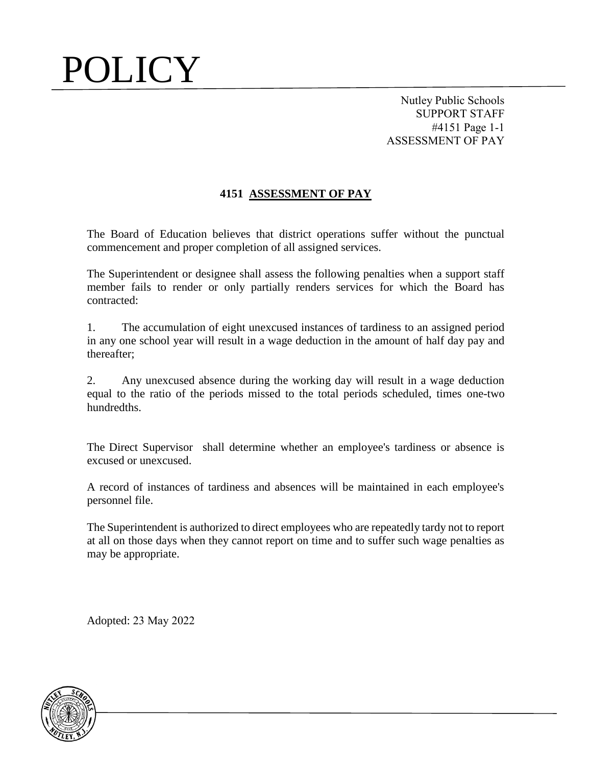Nutley Public Schools SUPPORT STAFF #4151 Page 1-1 ASSESSMENT OF PAY

#### **4151 ASSESSMENT OF PAY**

The Board of Education believes that district operations suffer without the punctual commencement and proper completion of all assigned services.

The Superintendent or designee shall assess the following penalties when a support staff member fails to render or only partially renders services for which the Board has contracted:

1. The accumulation of eight unexcused instances of tardiness to an assigned period in any one school year will result in a wage deduction in the amount of half day pay and thereafter;

2. Any unexcused absence during the working day will result in a wage deduction equal to the ratio of the periods missed to the total periods scheduled, times one-two hundredths.

The Direct Supervisor shall determine whether an employee's tardiness or absence is excused or unexcused.

A record of instances of tardiness and absences will be maintained in each employee's personnel file.

The Superintendent is authorized to direct employees who are repeatedly tardy not to report at all on those days when they cannot report on time and to suffer such wage penalties as may be appropriate.

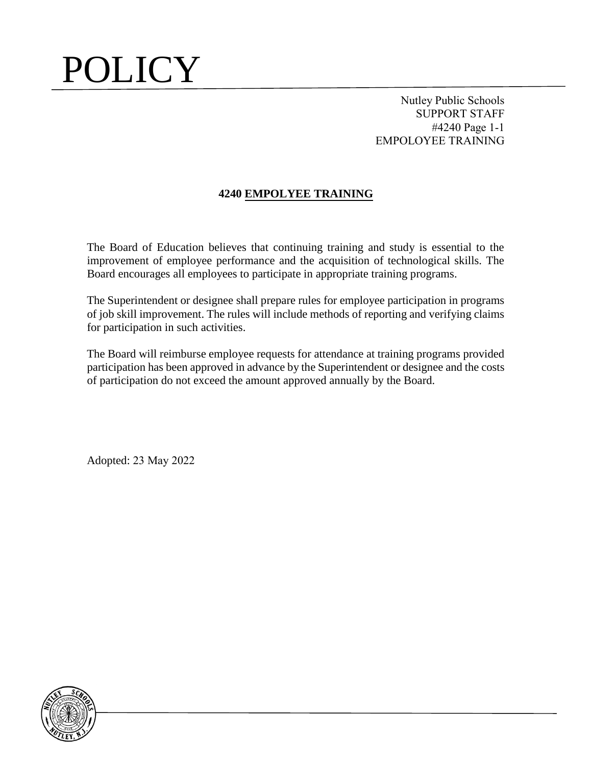Nutley Public Schools SUPPORT STAFF #4240 Page 1-1 EMPOLOYEE TRAINING

### **4240 EMPOLYEE TRAINING**

The Board of Education believes that continuing training and study is essential to the improvement of employee performance and the acquisition of technological skills. The Board encourages all employees to participate in appropriate training programs.

The Superintendent or designee shall prepare rules for employee participation in programs of job skill improvement. The rules will include methods of reporting and verifying claims for participation in such activities.

The Board will reimburse employee requests for attendance at training programs provided participation has been approved in advance by the Superintendent or designee and the costs of participation do not exceed the amount approved annually by the Board.

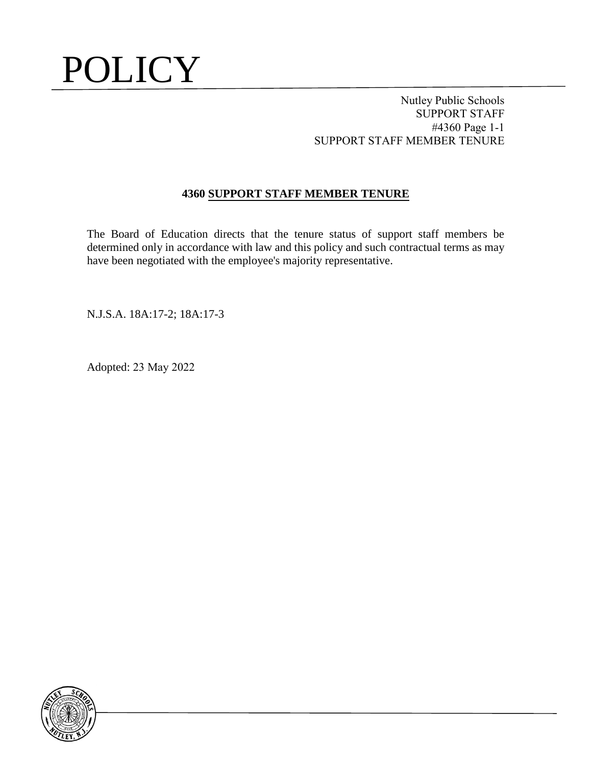Nutley Public Schools SUPPORT STAFF #4360 Page 1-1 SUPPORT STAFF MEMBER TENURE

### **4360 SUPPORT STAFF MEMBER TENURE**

The Board of Education directs that the tenure status of support staff members be determined only in accordance with law and this policy and such contractual terms as may have been negotiated with the employee's majority representative.

N.J.S.A. 18A:17-2; 18A:17-3

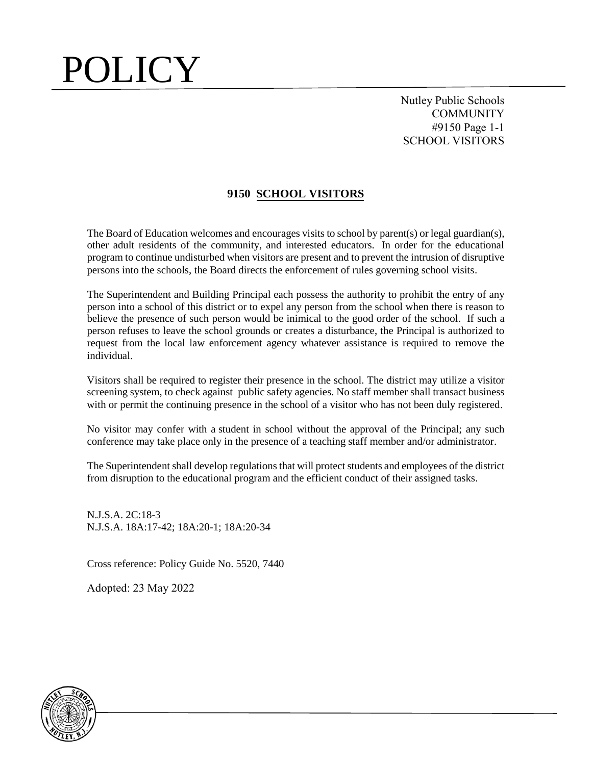Nutley Public Schools **COMMUNITY** #9150 Page 1-1 SCHOOL VISITORS

#### **9150 SCHOOL VISITORS**

The Board of Education welcomes and encourages visits to school by parent(s) or legal guardian(s), other adult residents of the community, and interested educators. In order for the educational program to continue undisturbed when visitors are present and to prevent the intrusion of disruptive persons into the schools, the Board directs the enforcement of rules governing school visits.

The Superintendent and Building Principal each possess the authority to prohibit the entry of any person into a school of this district or to expel any person from the school when there is reason to believe the presence of such person would be inimical to the good order of the school. If such a person refuses to leave the school grounds or creates a disturbance, the Principal is authorized to request from the local law enforcement agency whatever assistance is required to remove the individual.

Visitors shall be required to register their presence in the school. The district may utilize a visitor screening system, to check against public safety agencies. No staff member shall transact business with or permit the continuing presence in the school of a visitor who has not been duly registered.

No visitor may confer with a student in school without the approval of the Principal; any such conference may take place only in the presence of a teaching staff member and/or administrator.

The Superintendent shall develop regulations that will protect students and employees of the district from disruption to the educational program and the efficient conduct of their assigned tasks.

N.J.S.A. 2C:18-3 N.J.S.A. 18A:17-42; 18A:20-1; 18A:20-34

Cross reference: Policy Guide No. 5520, 7440

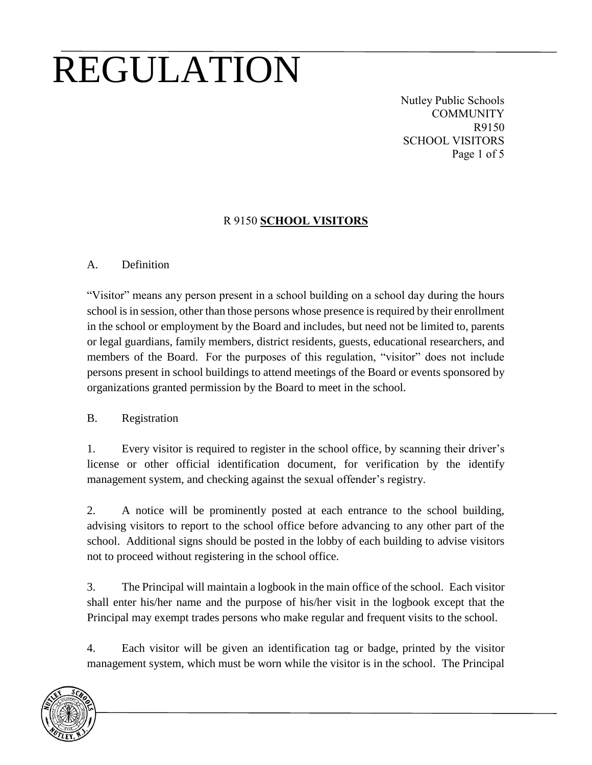Nutley Public Schools **COMMUNITY** R9150 SCHOOL VISITORS Page 1 of 5

### R 9150 **SCHOOL VISITORS**

#### A. Definition

"Visitor" means any person present in a school building on a school day during the hours school is in session, other than those persons whose presence is required by their enrollment in the school or employment by the Board and includes, but need not be limited to, parents or legal guardians, family members, district residents, guests, educational researchers, and members of the Board. For the purposes of this regulation, "visitor" does not include persons present in school buildings to attend meetings of the Board or events sponsored by organizations granted permission by the Board to meet in the school.

#### B. Registration

1. Every visitor is required to register in the school office, by scanning their driver's license or other official identification document, for verification by the identify management system, and checking against the sexual offender's registry.

2. A notice will be prominently posted at each entrance to the school building, advising visitors to report to the school office before advancing to any other part of the school. Additional signs should be posted in the lobby of each building to advise visitors not to proceed without registering in the school office.

3. The Principal will maintain a logbook in the main office of the school. Each visitor shall enter his/her name and the purpose of his/her visit in the logbook except that the Principal may exempt trades persons who make regular and frequent visits to the school.

4. Each visitor will be given an identification tag or badge, printed by the visitor management system, which must be worn while the visitor is in the school. The Principal

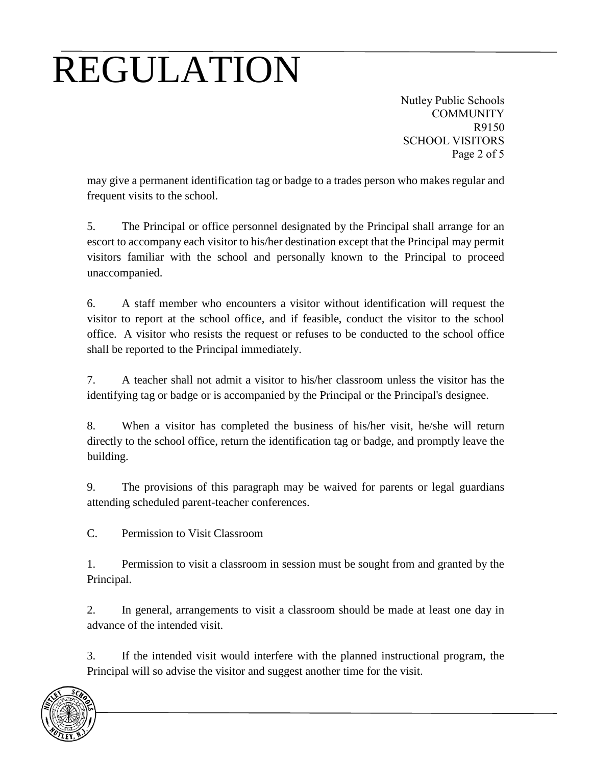Nutley Public Schools **COMMUNITY** R9150 SCHOOL VISITORS Page 2 of 5

may give a permanent identification tag or badge to a trades person who makes regular and frequent visits to the school.

5. The Principal or office personnel designated by the Principal shall arrange for an escort to accompany each visitor to his/her destination except that the Principal may permit visitors familiar with the school and personally known to the Principal to proceed unaccompanied.

6. A staff member who encounters a visitor without identification will request the visitor to report at the school office, and if feasible, conduct the visitor to the school office. A visitor who resists the request or refuses to be conducted to the school office shall be reported to the Principal immediately.

7. A teacher shall not admit a visitor to his/her classroom unless the visitor has the identifying tag or badge or is accompanied by the Principal or the Principal's designee.

8. When a visitor has completed the business of his/her visit, he/she will return directly to the school office, return the identification tag or badge, and promptly leave the building.

9. The provisions of this paragraph may be waived for parents or legal guardians attending scheduled parent-teacher conferences.

C. Permission to Visit Classroom

1. Permission to visit a classroom in session must be sought from and granted by the Principal.

2. In general, arrangements to visit a classroom should be made at least one day in advance of the intended visit.

3. If the intended visit would interfere with the planned instructional program, the Principal will so advise the visitor and suggest another time for the visit.

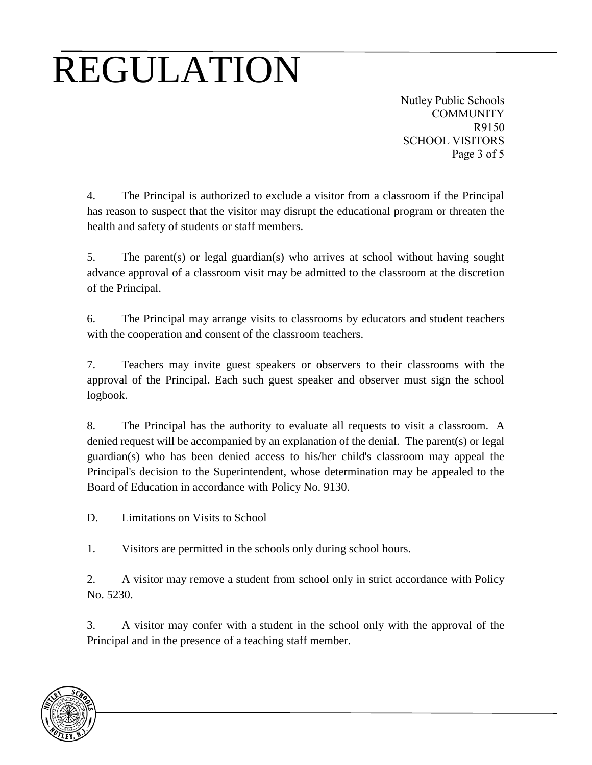Nutley Public Schools **COMMUNITY** R9150 SCHOOL VISITORS Page 3 of 5

4. The Principal is authorized to exclude a visitor from a classroom if the Principal has reason to suspect that the visitor may disrupt the educational program or threaten the health and safety of students or staff members.

5. The parent(s) or legal guardian(s) who arrives at school without having sought advance approval of a classroom visit may be admitted to the classroom at the discretion of the Principal.

6. The Principal may arrange visits to classrooms by educators and student teachers with the cooperation and consent of the classroom teachers.

7. Teachers may invite guest speakers or observers to their classrooms with the approval of the Principal. Each such guest speaker and observer must sign the school logbook.

8. The Principal has the authority to evaluate all requests to visit a classroom. A denied request will be accompanied by an explanation of the denial. The parent(s) or legal guardian(s) who has been denied access to his/her child's classroom may appeal the Principal's decision to the Superintendent, whose determination may be appealed to the Board of Education in accordance with Policy No. 9130.

D. Limitations on Visits to School

1. Visitors are permitted in the schools only during school hours.

2. A visitor may remove a student from school only in strict accordance with Policy No. 5230.

3. A visitor may confer with a student in the school only with the approval of the Principal and in the presence of a teaching staff member.

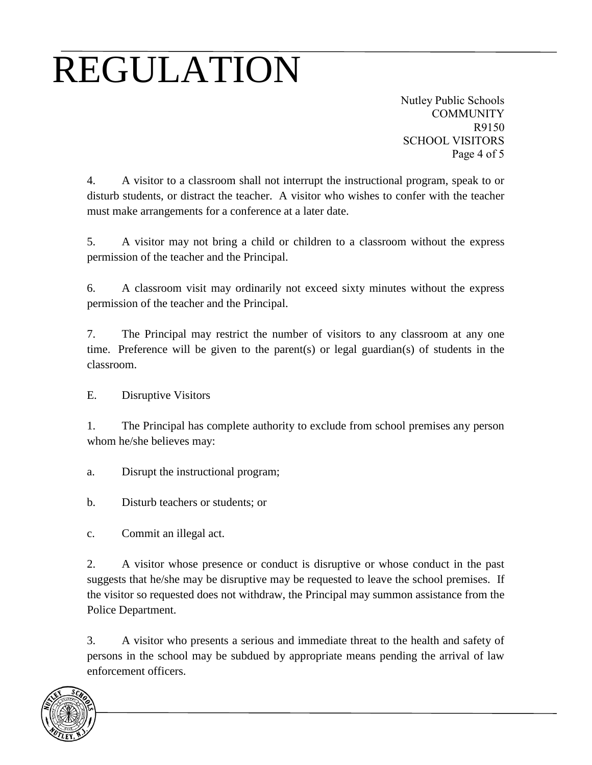Nutley Public Schools **COMMUNITY** R9150 SCHOOL VISITORS Page 4 of 5

4. A visitor to a classroom shall not interrupt the instructional program, speak to or disturb students, or distract the teacher. A visitor who wishes to confer with the teacher must make arrangements for a conference at a later date.

5. A visitor may not bring a child or children to a classroom without the express permission of the teacher and the Principal.

6. A classroom visit may ordinarily not exceed sixty minutes without the express permission of the teacher and the Principal.

7. The Principal may restrict the number of visitors to any classroom at any one time. Preference will be given to the parent(s) or legal guardian(s) of students in the classroom.

E. Disruptive Visitors

1. The Principal has complete authority to exclude from school premises any person whom he/she believes may:

- a. Disrupt the instructional program;
- b. Disturb teachers or students; or
- c. Commit an illegal act.

2. A visitor whose presence or conduct is disruptive or whose conduct in the past suggests that he/she may be disruptive may be requested to leave the school premises. If the visitor so requested does not withdraw, the Principal may summon assistance from the Police Department.

3. A visitor who presents a serious and immediate threat to the health and safety of persons in the school may be subdued by appropriate means pending the arrival of law enforcement officers.